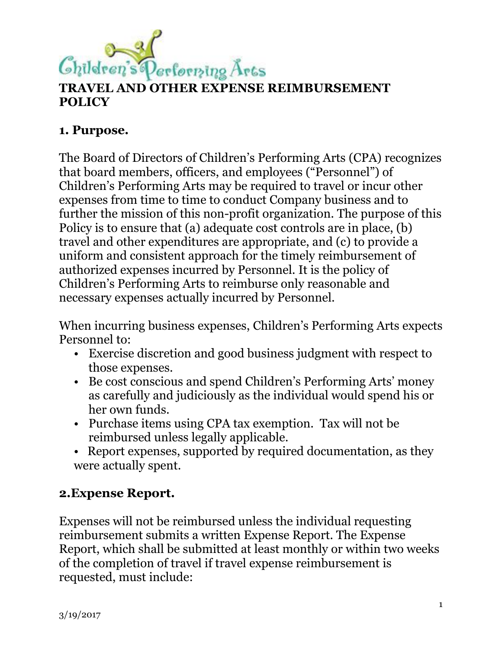

# **TRAVEL AND OTHER EXPENSE REIMBURSEMENT POLICY**

# **1. Purpose.**

The Board of Directors of Children's Performing Arts (CPA) recognizes that board members, officers, and employees ("Personnel") of Children's Performing Arts may be required to travel or incur other expenses from time to time to conduct Company business and to further the mission of this non-profit organization. The purpose of this Policy is to ensure that (a) adequate cost controls are in place, (b) travel and other expenditures are appropriate, and (c) to provide a uniform and consistent approach for the timely reimbursement of authorized expenses incurred by Personnel. It is the policy of Children's Performing Arts to reimburse only reasonable and necessary expenses actually incurred by Personnel.

When incurring business expenses, Children's Performing Arts expects Personnel to:

- Exercise discretion and good business judgment with respect to those expenses.
- Be cost conscious and spend Children's Performing Arts' money as carefully and judiciously as the individual would spend his or her own funds.
- Purchase items using CPA tax exemption. Tax will not be reimbursed unless legally applicable.
- Report expenses, supported by required documentation, as they were actually spent.

# **2.Expense Report.**

Expenses will not be reimbursed unless the individual requesting reimbursement submits a written Expense Report. The Expense Report, which shall be submitted at least monthly or within two weeks of the completion of travel if travel expense reimbursement is requested, must include: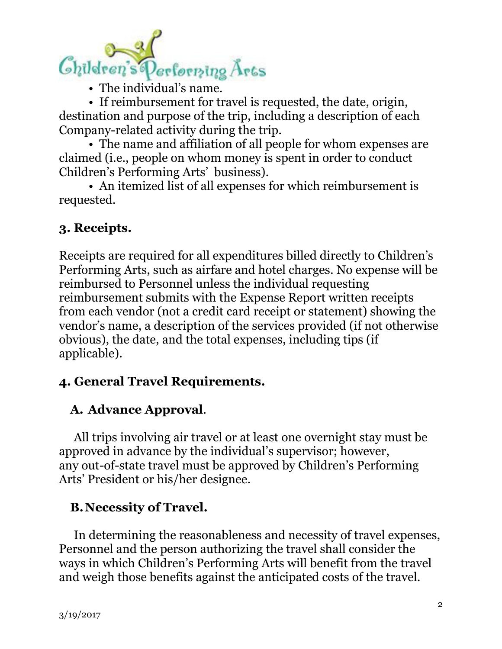

• The individual's name.

• If reimbursement for travel is requested, the date, origin, destination and purpose of the trip, including a description of each Company-related activity during the trip.

• The name and affiliation of all people for whom expenses are claimed (i.e., people on whom money is spent in order to conduct Children's Performing Arts' business).

• An itemized list of all expenses for which reimbursement is requested.

## **3. Receipts.**

Receipts are required for all expenditures billed directly to Children's Performing Arts, such as airfare and hotel charges. No expense will be reimbursed to Personnel unless the individual requesting reimbursement submits with the Expense Report written receipts from each vendor (not a credit card receipt or statement) showing the vendor's name, a description of the services provided (if not otherwise obvious), the date, and the total expenses, including tips (if applicable).

## **4. General Travel Requirements.**

# **A. Advance Approval**.

All trips involving air travel or at least one overnight stay must be approved in advance by the individual's supervisor; however, any out-of-state travel must be approved by Children's Performing Arts' President or his/her designee.

#### **B.Necessity of Travel.**

In determining the reasonableness and necessity of travel expenses, Personnel and the person authorizing the travel shall consider the ways in which Children's Performing Arts will benefit from the travel and weigh those benefits against the anticipated costs of the travel.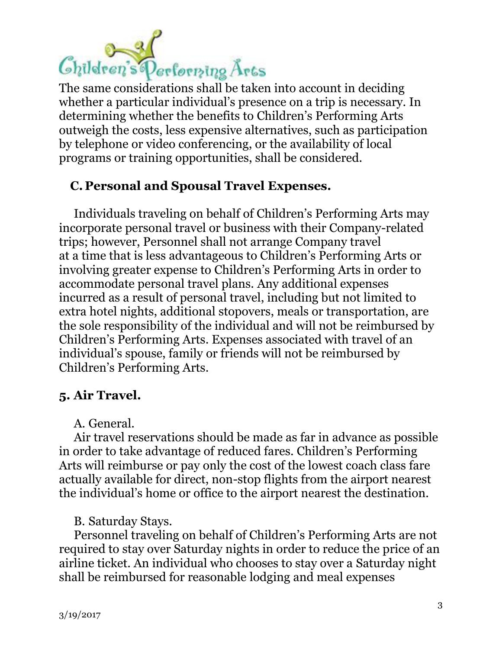# Children's Performing Arts

The same considerations shall be taken into account in deciding whether a particular individual's presence on a trip is necessary. In determining whether the benefits to Children's Performing Arts outweigh the costs, less expensive alternatives, such as participation by telephone or video conferencing, or the availability of local programs or training opportunities, shall be considered.

# **C. Personal and Spousal Travel Expenses.**

Individuals traveling on behalf of Children's Performing Arts may incorporate personal travel or business with their Company-related trips; however, Personnel shall not arrange Company travel at a time that is less advantageous to Children's Performing Arts or involving greater expense to Children's Performing Arts in order to accommodate personal travel plans. Any additional expenses incurred as a result of personal travel, including but not limited to extra hotel nights, additional stopovers, meals or transportation, are the sole responsibility of the individual and will not be reimbursed by Children's Performing Arts. Expenses associated with travel of an individual's spouse, family or friends will not be reimbursed by Children's Performing Arts.

# **5. Air Travel.**

A. General.

Air travel reservations should be made as far in advance as possible in order to take advantage of reduced fares. Children's Performing Arts will reimburse or pay only the cost of the lowest coach class fare actually available for direct, non-stop flights from the airport nearest the individual's home or office to the airport nearest the destination.

B. Saturday Stays.

Personnel traveling on behalf of Children's Performing Arts are not required to stay over Saturday nights in order to reduce the price of an airline ticket. An individual who chooses to stay over a Saturday night shall be reimbursed for reasonable lodging and meal expenses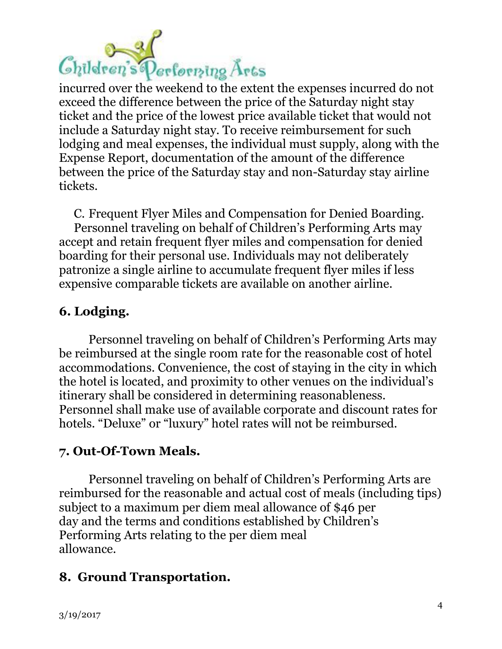

incurred over the weekend to the extent the expenses incurred do not exceed the difference between the price of the Saturday night stay ticket and the price of the lowest price available ticket that would not include a Saturday night stay. To receive reimbursement for such lodging and meal expenses, the individual must supply, along with the Expense Report, documentation of the amount of the difference between the price of the Saturday stay and non-Saturday stay airline tickets.

C. Frequent Flyer Miles and Compensation for Denied Boarding.

Personnel traveling on behalf of Children's Performing Arts may accept and retain frequent flyer miles and compensation for denied boarding for their personal use. Individuals may not deliberately patronize a single airline to accumulate frequent flyer miles if less expensive comparable tickets are available on another airline.

## **6. Lodging.**

Personnel traveling on behalf of Children's Performing Arts may be reimbursed at the single room rate for the reasonable cost of hotel accommodations. Convenience, the cost of staying in the city in which the hotel is located, and proximity to other venues on the individual's itinerary shall be considered in determining reasonableness. Personnel shall make use of available corporate and discount rates for hotels. "Deluxe" or "luxury" hotel rates will not be reimbursed.

## **7. Out-Of-Town Meals.**

Personnel traveling on behalf of Children's Performing Arts are reimbursed for the reasonable and actual cost of meals (including tips) subject to a maximum per diem meal allowance of \$46 per day and the terms and conditions established by Children's Performing Arts relating to the per diem meal allowance.

## **8. Ground Transportation.**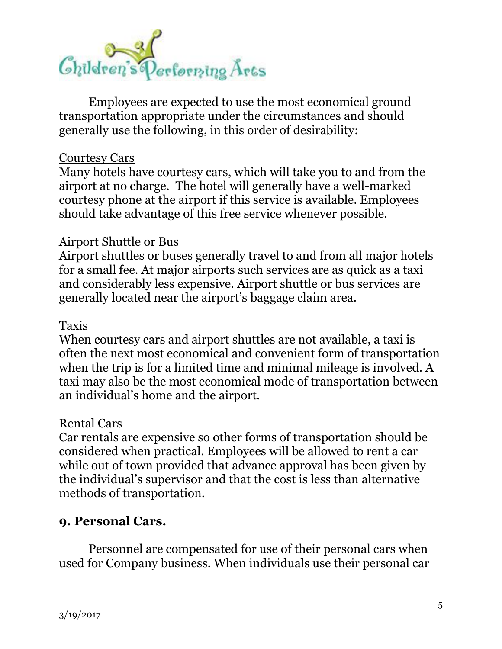

Employees are expected to use the most economical ground transportation appropriate under the circumstances and should generally use the following, in this order of desirability:

#### Courtesy Cars

Many hotels have courtesy cars, which will take you to and from the airport at no charge. The hotel will generally have a well-marked courtesy phone at the airport if this service is available. Employees should take advantage of this free service whenever possible.

#### Airport Shuttle or Bus

Airport shuttles or buses generally travel to and from all major hotels for a small fee. At major airports such services are as quick as a taxi and considerably less expensive. Airport shuttle or bus services are generally located near the airport's baggage claim area.

#### Taxis

When courtesy cars and airport shuttles are not available, a taxi is often the next most economical and convenient form of transportation when the trip is for a limited time and minimal mileage is involved. A taxi may also be the most economical mode of transportation between an individual's home and the airport.

#### Rental Cars

Car rentals are expensive so other forms of transportation should be considered when practical. Employees will be allowed to rent a car while out of town provided that advance approval has been given by the individual's supervisor and that the cost is less than alternative methods of transportation.

#### **9. Personal Cars.**

Personnel are compensated for use of their personal cars when used for Company business. When individuals use their personal car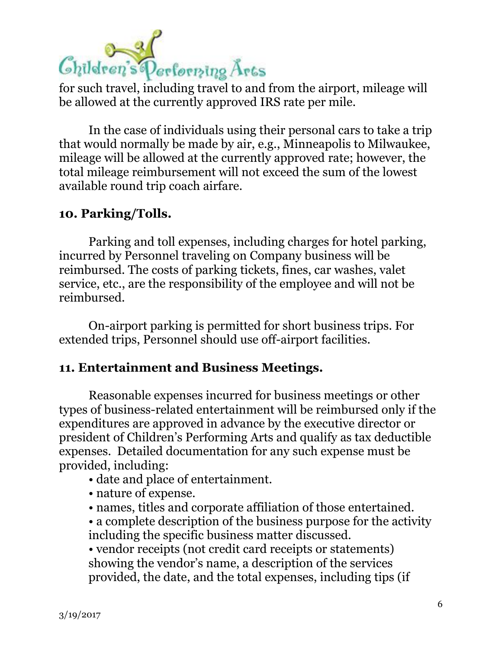

for such travel, including travel to and from the airport, mileage will be allowed at the currently approved IRS rate per mile.

In the case of individuals using their personal cars to take a trip that would normally be made by air, e.g., Minneapolis to Milwaukee, mileage will be allowed at the currently approved rate; however, the total mileage reimbursement will not exceed the sum of the lowest available round trip coach airfare.

### **10. Parking/Tolls.**

Parking and toll expenses, including charges for hotel parking, incurred by Personnel traveling on Company business will be reimbursed. The costs of parking tickets, fines, car washes, valet service, etc., are the responsibility of the employee and will not be reimbursed.

On-airport parking is permitted for short business trips. For extended trips, Personnel should use off-airport facilities.

#### **11. Entertainment and Business Meetings.**

Reasonable expenses incurred for business meetings or other types of business-related entertainment will be reimbursed only if the expenditures are approved in advance by the executive director or president of Children's Performing Arts and qualify as tax deductible expenses. Detailed documentation for any such expense must be provided, including:

- date and place of entertainment.
- nature of expense.
- names, titles and corporate affiliation of those entertained.
- a complete description of the business purpose for the activity including the specific business matter discussed.

• vendor receipts (not credit card receipts or statements) showing the vendor's name, a description of the services provided, the date, and the total expenses, including tips (if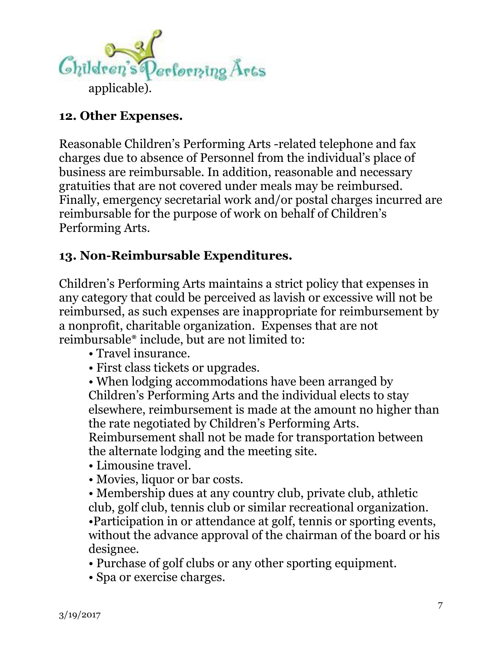

# **12. Other Expenses.**

Reasonable Children's Performing Arts -related telephone and fax charges due to absence of Personnel from the individual's place of business are reimbursable. In addition, reasonable and necessary gratuities that are not covered under meals may be reimbursed. Finally, emergency secretarial work and/or postal charges incurred are reimbursable for the purpose of work on behalf of Children's Performing Arts.

# **13. Non-Reimbursable Expenditures.**

Children's Performing Arts maintains a strict policy that expenses in any category that could be perceived as lavish or excessive will not be reimbursed, as such expenses are inappropriate for reimbursement by a nonprofit, charitable organization. Expenses that are not reimbursable\* include, but are not limited to:

- Travel insurance.
- First class tickets or upgrades.

• When lodging accommodations have been arranged by Children's Performing Arts and the individual elects to stay elsewhere, reimbursement is made at the amount no higher than the rate negotiated by Children's Performing Arts. Reimbursement shall not be made for transportation between

the alternate lodging and the meeting site.

- Limousine travel.
- Movies, liquor or bar costs.
- Membership dues at any country club, private club, athletic club, golf club, tennis club or similar recreational organization. •Participation in or attendance at golf, tennis or sporting events, without the advance approval of the chairman of the board or his designee.
- Purchase of golf clubs or any other sporting equipment.
- Spa or exercise charges.